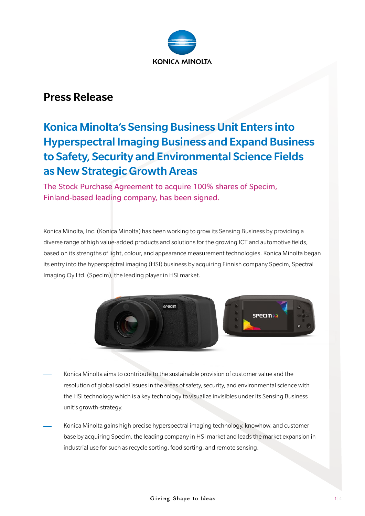

# Press Release

# Konica Minolta's Sensing Business Unit Enters into Hyperspectral Imaging Business and Expand Business to Safety, Security and Environmental Science Fields as New Strategic Growth Areas

The Stock Purchase Agreement to acquire 100% shares of Specim, Finland-based leading company, has been signed.

Konica Minolta, Inc. (Konica Minolta) has been working to grow its Sensing Business by providing a diverse range of high value-added products and solutions for the growing ICT and automotive fields, based on its strengths of light, colour, and appearance measurement technologies. Konica Minolta began its entry into the hyperspectral imaging (HSI) business by acquiring Finnish company Specim, Spectral Imaging Oy Ltd. (Specim), the leading player in HSI market.



- Konica Minolta aims to contribute to the sustainable provision of customer value and the resolution of global social issues in the areas of safety, security, and environmental science with the HSI technology which is a key technology to visualize invisibles under its Sensing Business unit's growth-strategy.
- Konica Minolta gains high precise hyperspectral imaging technology, knowhow, and customer base by acquiring Specim, the leading company in HSI market and leads the market expansion in industrial use for such as recycle sorting, food sorting, and remote sensing.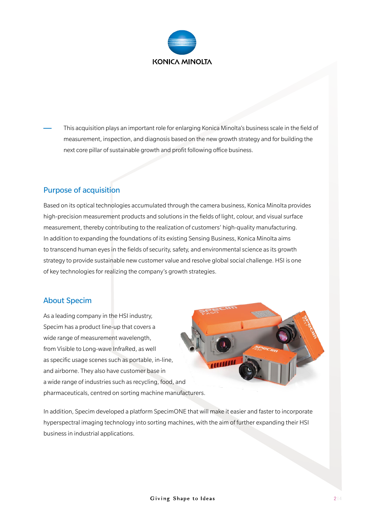

This acquisition plays an important role for enlarging Konica Minolta's business scale in the field of measurement, inspection, and diagnosis based on the new growth strategy and for building the next core pillar of sustainable growth and profit following office business.

## Purpose of acquisition

Based on its optical technologies accumulated through the camera business, Konica Minolta provides high-precision measurement products and solutions in the fields of light, colour, and visual surface measurement, thereby contributing to the realization of customers' high-quality manufacturing. In addition to expanding the foundations of its existing Sensing Business, Konica Minolta aims to transcend human eyes in the fields of security, safety, and environmental science as its growth strategy to provide sustainable new customer value and resolve global social challenge. HSI is one of key technologies for realizing the company's growth strategies.

#### About Specim

As a leading company in the HSI industry, Specim has a product line-up that covers a wide range of measurement wavelength, from Visible to Long-wave InfraRed, as well as specific usage scenes such as portable, in-line, and airborne. They also have customer base in a wide range of industries such as recycling, food, and pharmaceuticals, centred on sorting machine manufacturers.



In addition, Specim developed a platform SpecimONE that will make it easier and faster to incorporate hyperspectral imaging technology into sorting machines, with the aim of further expanding their HSI business in industrial applications.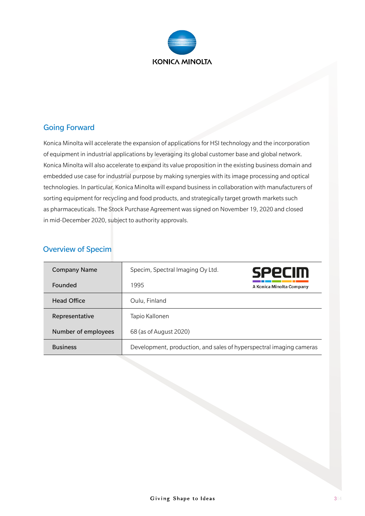

#### Going Forward

Konica Minolta will accelerate the expansion of applications for HSI technology and the incorporation of equipment in industrial applications by leveraging its global customer base and global network. Konica Minolta will also accelerate to expand its value proposition in the existing business domain and embedded use case for industrial purpose by making synergies with its image processing and optical technologies. In particular, Konica Minolta will expand business in collaboration with manufacturers of sorting equipment for recycling and food products, and strategically target growth markets such as pharmaceuticals. The Stock Purchase Agreement was signed on November 19, 2020 and closed in mid-December 2020, subject to authority approvals.

### Overview of Specim

| <b>Company Name</b> | Specim, Spectral Imaging Oy Ltd.                                    | <b>SPPCIM</b>            |
|---------------------|---------------------------------------------------------------------|--------------------------|
| Founded             | 1995                                                                | A Konica Minolta Company |
| <b>Head Office</b>  | Oulu, Finland                                                       |                          |
| Representative      | Tapio Kallonen                                                      |                          |
| Number of employees | 68 (as of August 2020)                                              |                          |
| <b>Business</b>     | Development, production, and sales of hyperspectral imaging cameras |                          |